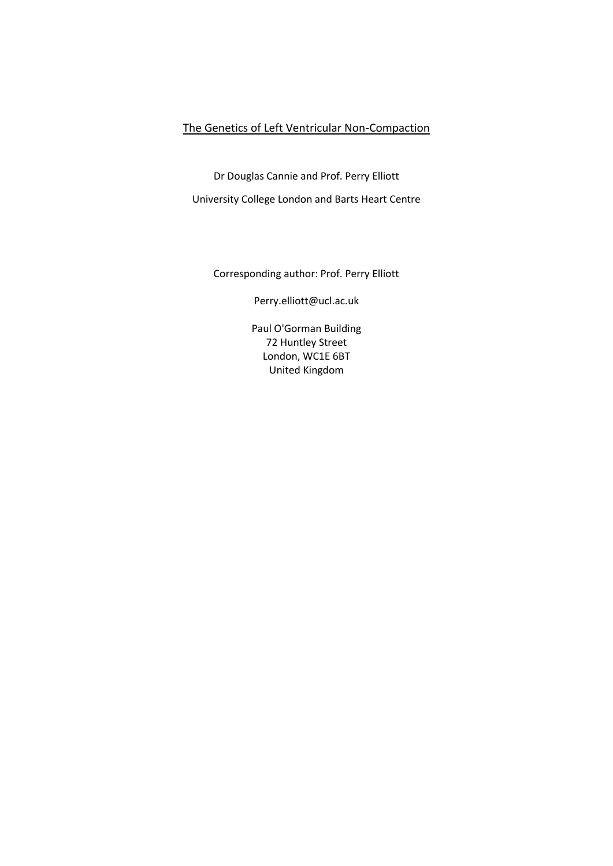# The Genetics of Left Ventricular Non-Compaction

Dr Douglas Cannie and Prof. Perry Elliott

University College London and Barts Heart Centre

Corresponding author: Prof. Perry Elliott

[Perry.elliott@ucl.ac.uk](mailto:Perry.elliott@ucl.ac.uk)

Paul O'Gorman Building 72 Huntley Street London, WC1E 6BT United Kingdom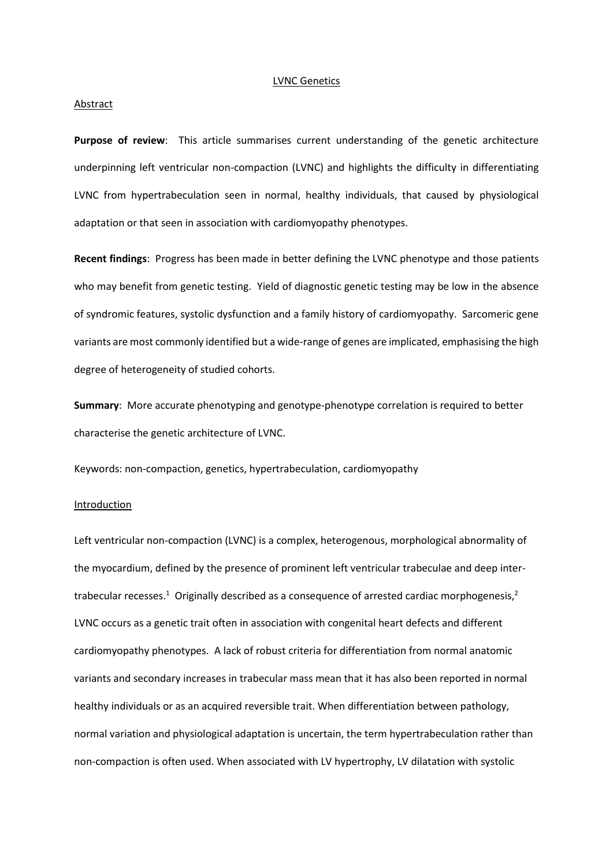#### LVNC Genetics

#### **Abstract**

Purpose of review: This article summarises current understanding of the genetic architecture underpinning left ventricular non-compaction (LVNC) and highlights the difficulty in differentiating LVNC from hypertrabeculation seen in normal, healthy individuals, that caused by physiological adaptation or that seen in association with cardiomyopathy phenotypes.

**Recent findings**: Progress has been made in better defining the LVNC phenotype and those patients who may benefit from genetic testing. Yield of diagnostic genetic testing may be low in the absence of syndromic features, systolic dysfunction and a family history of cardiomyopathy. Sarcomeric gene variants are most commonly identified but a wide-range of genes are implicated, emphasising the high degree of heterogeneity of studied cohorts.

**Summary**: More accurate phenotyping and genotype-phenotype correlation is required to better characterise the genetic architecture of LVNC.

Keywords: non-compaction, genetics, hypertrabeculation, cardiomyopathy

#### Introduction

Left ventricular non-compaction (LVNC) is a complex, heterogenous, morphological abnormality of the myocardium, defined by the presence of prominent left ventricular trabeculae and deep intertrabecular recesses.<sup>1</sup> Originally described as a consequence of arrested cardiac morphogenesis,<sup>2</sup> LVNC occurs as a genetic trait often in association with congenital heart defects and different cardiomyopathy phenotypes. A lack of robust criteria for differentiation from normal anatomic variants and secondary increases in trabecular mass mean that it has also been reported in normal healthy individuals or as an acquired reversible trait. When differentiation between pathology, normal variation and physiological adaptation is uncertain, the term hypertrabeculation rather than non-compaction is often used. When associated with LV hypertrophy, LV dilatation with systolic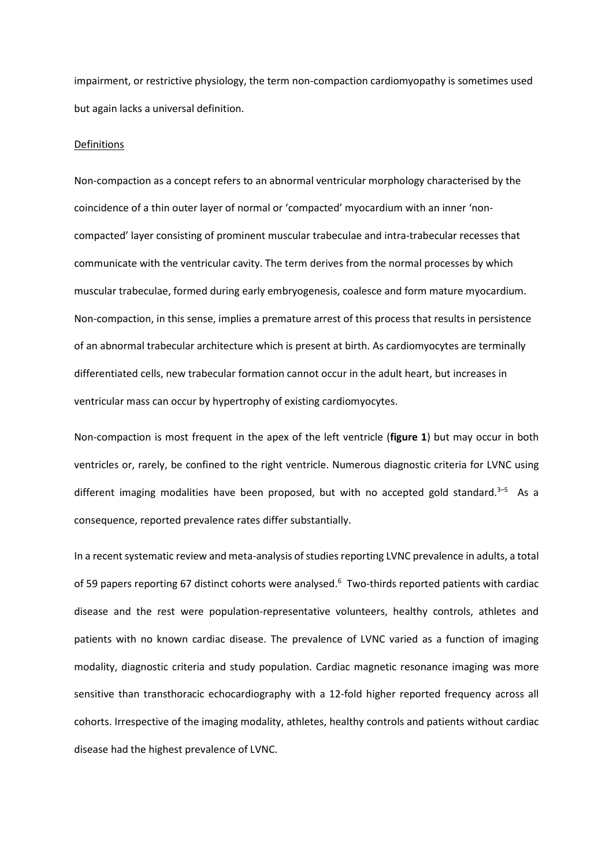impairment, or restrictive physiology, the term non-compaction cardiomyopathy is sometimes used but again lacks a universal definition.

### Definitions

Non-compaction as a concept refers to an abnormal ventricular morphology characterised by the coincidence of a thin outer layer of normal or 'compacted' myocardium with an inner 'noncompacted' layer consisting of prominent muscular trabeculae and intra-trabecular recesses that communicate with the ventricular cavity. The term derives from the normal processes by which muscular trabeculae, formed during early embryogenesis, coalesce and form mature myocardium. Non-compaction, in this sense, implies a premature arrest of this process that results in persistence of an abnormal trabecular architecture which is present at birth. As cardiomyocytes are terminally differentiated cells, new trabecular formation cannot occur in the adult heart, but increases in ventricular mass can occur by hypertrophy of existing cardiomyocytes.

Non-compaction is most frequent in the apex of the left ventricle (**figure 1**) but may occur in both ventricles or, rarely, be confined to the right ventricle. Numerous diagnostic criteria for LVNC using different imaging modalities have been proposed, but with no accepted gold standard.<sup>3-5</sup> As a consequence, reported prevalence rates differ substantially.

In a recent systematic review and meta-analysis of studies reporting LVNC prevalence in adults, a total of 59 papers reporting 67 distinct cohorts were analysed.<sup>6</sup> Two-thirds reported patients with cardiac disease and the rest were population-representative volunteers, healthy controls, athletes and patients with no known cardiac disease. The prevalence of LVNC varied as a function of imaging modality, diagnostic criteria and study population. Cardiac magnetic resonance imaging was more sensitive than transthoracic echocardiography with a 12-fold higher reported frequency across all cohorts. Irrespective of the imaging modality, athletes, healthy controls and patients without cardiac disease had the highest prevalence of LVNC.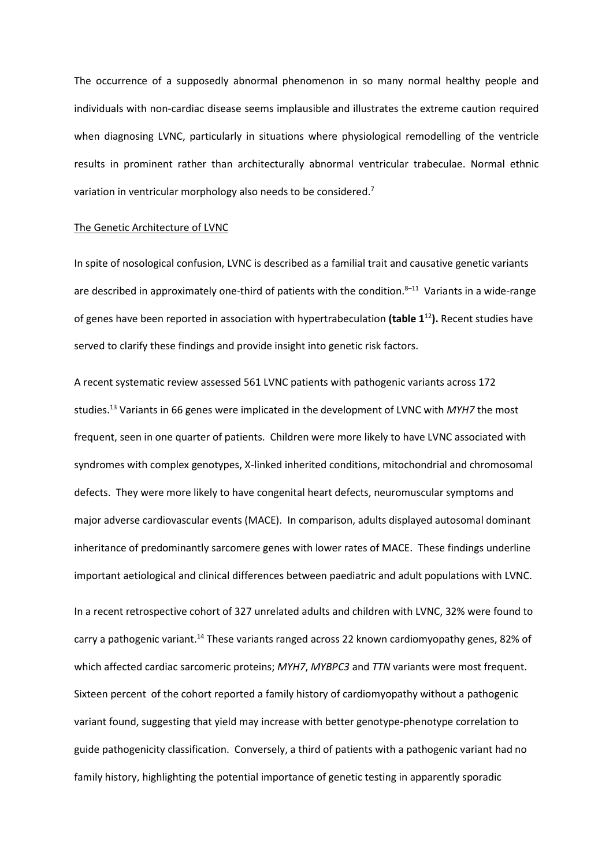The occurrence of a supposedly abnormal phenomenon in so many normal healthy people and individuals with non-cardiac disease seems implausible and illustrates the extreme caution required when diagnosing LVNC, particularly in situations where physiological remodelling of the ventricle results in prominent rather than architecturally abnormal ventricular trabeculae. Normal ethnic variation in ventricular morphology also needs to be considered.<sup>7</sup>

#### The Genetic Architecture of LVNC

In spite of nosological confusion, LVNC is described as a familial trait and causative genetic variants are described in approximately one-third of patients with the condition.<sup>8-11</sup> Variants in a wide-range of genes have been reported in association with hypertrabeculation **(table 1**<sup>12</sup>**).** Recent studies have served to clarify these findings and provide insight into genetic risk factors.

A recent systematic review assessed 561 LVNC patients with pathogenic variants across 172 studies.<sup>13</sup> Variants in 66 genes were implicated in the development of LVNC with *MYH7* the most frequent, seen in one quarter of patients. Children were more likely to have LVNC associated with syndromes with complex genotypes, X-linked inherited conditions, mitochondrial and chromosomal defects. They were more likely to have congenital heart defects, neuromuscular symptoms and major adverse cardiovascular events (MACE). In comparison, adults displayed autosomal dominant inheritance of predominantly sarcomere genes with lower rates of MACE. These findings underline important aetiological and clinical differences between paediatric and adult populations with LVNC.

In a recent retrospective cohort of 327 unrelated adults and children with LVNC, 32% were found to carry a pathogenic variant.<sup>14</sup> These variants ranged across 22 known cardiomyopathy genes, 82% of which affected cardiac sarcomeric proteins; *MYH7*, *MYBPC3* and *TTN* variants were most frequent. Sixteen percent of the cohort reported a family history of cardiomyopathy without a pathogenic variant found, suggesting that yield may increase with better genotype-phenotype correlation to guide pathogenicity classification. Conversely, a third of patients with a pathogenic variant had no family history, highlighting the potential importance of genetic testing in apparently sporadic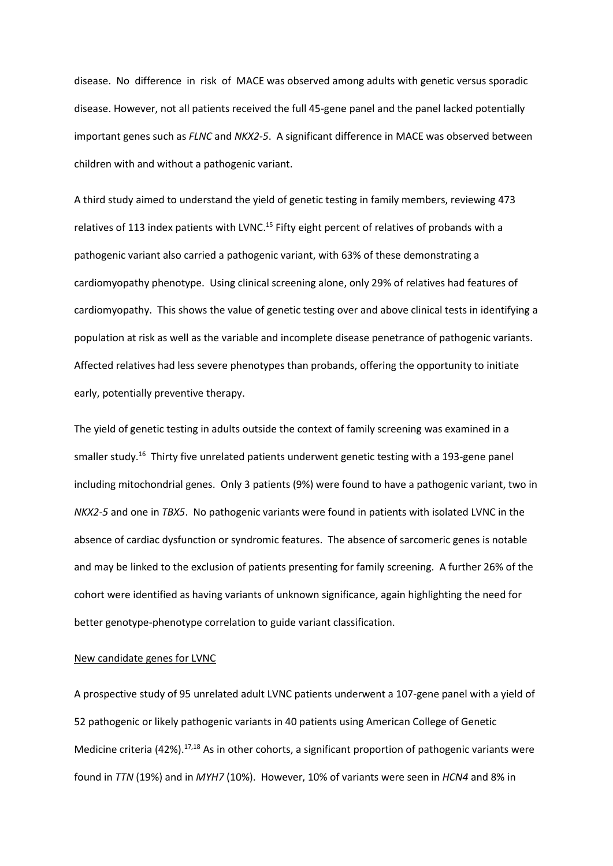disease. No difference in risk of MACE was observed among adults with genetic versus sporadic disease. However, not all patients received the full 45-gene panel and the panel lacked potentially important genes such as *FLNC* and *NKX2-5*. A significant difference in MACE was observed between children with and without a pathogenic variant.

A third study aimed to understand the yield of genetic testing in family members, reviewing 473 relatives of 113 index patients with LVNC.<sup>15</sup> Fifty eight percent of relatives of probands with a pathogenic variant also carried a pathogenic variant, with 63% of these demonstrating a cardiomyopathy phenotype. Using clinical screening alone, only 29% of relatives had features of cardiomyopathy. This shows the value of genetic testing over and above clinical tests in identifying a population at risk as well as the variable and incomplete disease penetrance of pathogenic variants. Affected relatives had less severe phenotypes than probands, offering the opportunity to initiate early, potentially preventive therapy.

The yield of genetic testing in adults outside the context of family screening was examined in a smaller study.<sup>16</sup> Thirty five unrelated patients underwent genetic testing with a 193-gene panel including mitochondrial genes. Only 3 patients (9%) were found to have a pathogenic variant, two in *NKX2-5* and one in *TBX5*. No pathogenic variants were found in patients with isolated LVNC in the absence of cardiac dysfunction or syndromic features. The absence of sarcomeric genes is notable and may be linked to the exclusion of patients presenting for family screening. A further 26% of the cohort were identified as having variants of unknown significance, again highlighting the need for better genotype-phenotype correlation to guide variant classification.

### New candidate genes for LVNC

A prospective study of 95 unrelated adult LVNC patients underwent a 107-gene panel with a yield of 52 pathogenic or likely pathogenic variants in 40 patients using American College of Genetic Medicine criteria (42%).<sup>17,18</sup> As in other cohorts, a significant proportion of pathogenic variants were found in *TTN* (19%) and in *MYH7* (10%). However, 10% of variants were seen in *HCN4* and 8% in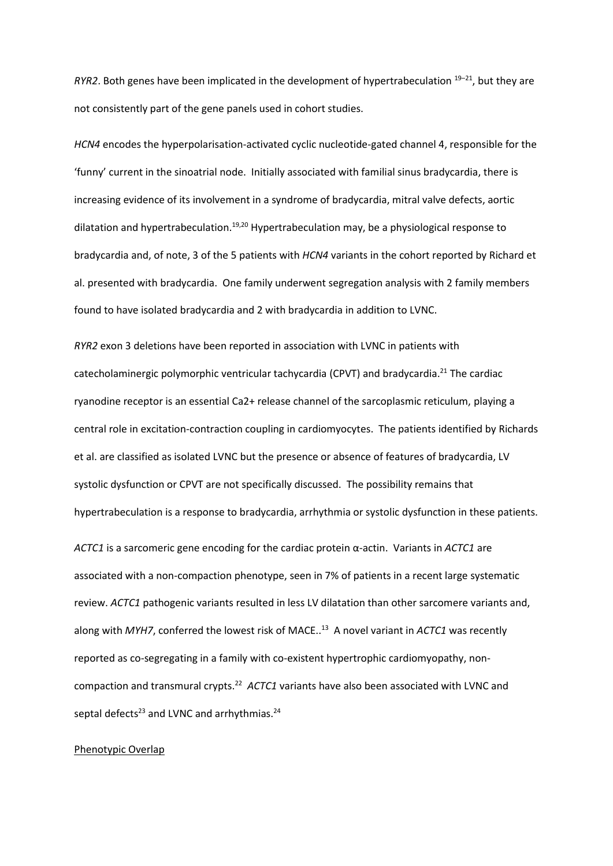RYR2. Both genes have been implicated in the development of hypertrabeculation <sup>19–21</sup>, but they are not consistently part of the gene panels used in cohort studies.

*HCN4* encodes the hyperpolarisation-activated cyclic nucleotide-gated channel 4, responsible for the 'funny' current in the sinoatrial node. Initially associated with familial sinus bradycardia, there is increasing evidence of its involvement in a syndrome of bradycardia, mitral valve defects, aortic dilatation and hypertrabeculation.<sup>19,20</sup> Hypertrabeculation may, be a physiological response to bradycardia and, of note, 3 of the 5 patients with *HCN4* variants in the cohort reported by Richard et al. presented with bradycardia. One family underwent segregation analysis with 2 family members found to have isolated bradycardia and 2 with bradycardia in addition to LVNC.

*RYR2* exon 3 deletions have been reported in association with LVNC in patients with catecholaminergic polymorphic ventricular tachycardia (CPVT) and bradycardia.<sup>21</sup> The cardiac ryanodine receptor is an essential Ca2+ release channel of the sarcoplasmic reticulum, playing a central role in excitation-contraction coupling in cardiomyocytes. The patients identified by Richards et al. are classified as isolated LVNC but the presence or absence of features of bradycardia, LV systolic dysfunction or CPVT are not specifically discussed. The possibility remains that hypertrabeculation is a response to bradycardia, arrhythmia or systolic dysfunction in these patients.

*ACTC1* is a sarcomeric gene encoding for the cardiac protein α-actin. Variants in *ACTC1* are associated with a non-compaction phenotype, seen in 7% of patients in a recent large systematic review. *ACTC1* pathogenic variants resulted in less LV dilatation than other sarcomere variants and, along with *MYH7*, conferred the lowest risk of MACE.. 13 A novel variant in *ACTC1* was recently reported as co-segregating in a family with co-existent hypertrophic cardiomyopathy, noncompaction and transmural crypts.<sup>22</sup> ACTC1 variants have also been associated with LVNC and septal defects $^{23}$  and LVNC and arrhythmias. $^{24}$ 

#### Phenotypic Overlap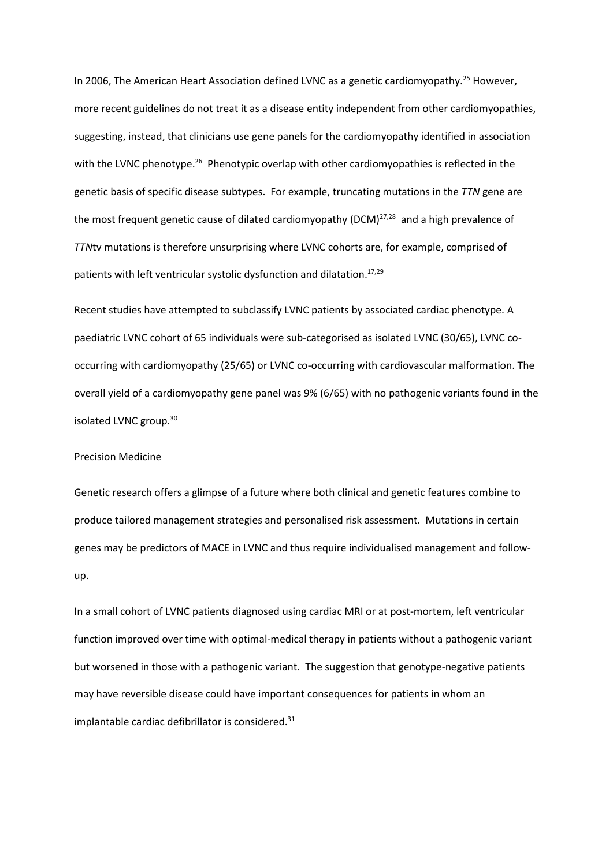In 2006, The American Heart Association defined LVNC as a genetic cardiomyopathy.<sup>25</sup> However, more recent guidelines do not treat it as a disease entity independent from other cardiomyopathies, suggesting, instead, that clinicians use gene panels for the cardiomyopathy identified in association with the LVNC phenotype.<sup>26</sup> Phenotypic overlap with other cardiomyopathies is reflected in the genetic basis of specific disease subtypes. For example, truncating mutations in the *TTN* gene are the most frequent genetic cause of dilated cardiomyopathy (DCM) $^{27,28}$  and a high prevalence of *TTN*tv mutations is therefore unsurprising where LVNC cohorts are, for example, comprised of patients with left ventricular systolic dysfunction and dilatation.<sup>17,29</sup>

Recent studies have attempted to subclassify LVNC patients by associated cardiac phenotype. A paediatric LVNC cohort of 65 individuals were sub-categorised as isolated LVNC (30/65), LVNC cooccurring with cardiomyopathy (25/65) or LVNC co-occurring with cardiovascular malformation. The overall yield of a cardiomyopathy gene panel was 9% (6/65) with no pathogenic variants found in the isolated LVNC group.<sup>30</sup>

#### Precision Medicine

Genetic research offers a glimpse of a future where both clinical and genetic features combine to produce tailored management strategies and personalised risk assessment. Mutations in certain genes may be predictors of MACE in LVNC and thus require individualised management and followup.

In a small cohort of LVNC patients diagnosed using cardiac MRI or at post-mortem, left ventricular function improved over time with optimal-medical therapy in patients without a pathogenic variant but worsened in those with a pathogenic variant. The suggestion that genotype-negative patients may have reversible disease could have important consequences for patients in whom an implantable cardiac defibrillator is considered. 31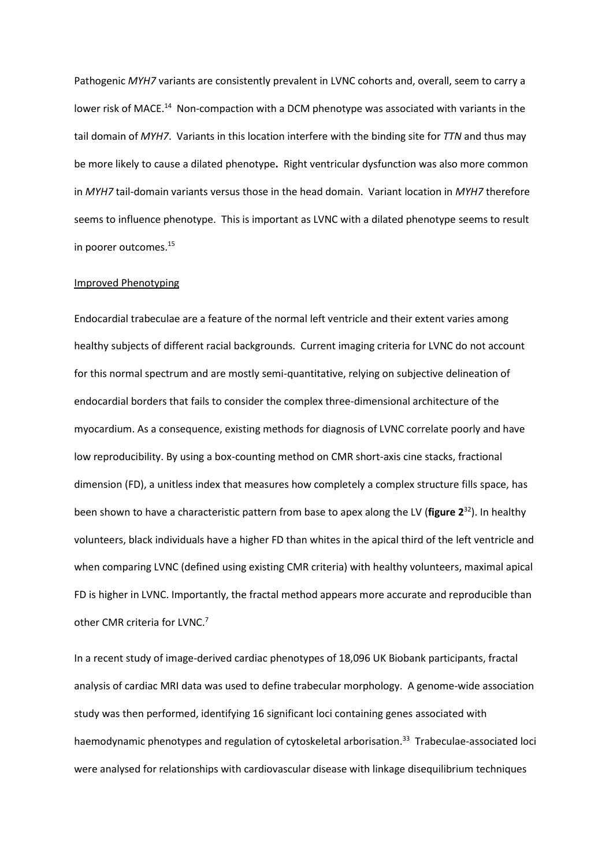Pathogenic *MYH7* variants are consistently prevalent in LVNC cohorts and, overall, seem to carry a lower risk of MACE.<sup>14</sup> Non-compaction with a DCM phenotype was associated with variants in the tail domain of *MYH7*. Variants in this location interfere with the binding site for *TTN* and thus may be more likely to cause a dilated phenotype**.** Right ventricular dysfunction was also more common in *MYH7* tail-domain variants versus those in the head domain. Variant location in *MYH7* therefore seems to influence phenotype. This is important as LVNC with a dilated phenotype seems to result in poorer outcomes.<sup>15</sup>

#### Improved Phenotyping

Endocardial trabeculae are a feature of the normal left ventricle and their extent varies among healthy subjects of different racial backgrounds. Current imaging criteria for LVNC do not account for this normal spectrum and are mostly semi-quantitative, relying on subjective delineation of endocardial borders that fails to consider the complex three-dimensional architecture of the myocardium. As a consequence, existing methods for diagnosis of LVNC correlate poorly and have low reproducibility. By using a box-counting method on CMR short-axis cine stacks, fractional dimension (FD), a unitless index that measures how completely a complex structure fills space, has been shown to have a characteristic pattern from base to apex along the LV (**figure 2** <sup>32</sup>). In healthy volunteers, black individuals have a higher FD than whites in the apical third of the left ventricle and when comparing LVNC (defined using existing CMR criteria) with healthy volunteers, maximal apical FD is higher in LVNC. Importantly, the fractal method appears more accurate and reproducible than other CMR criteria for LVNC.<sup>7</sup>

In a recent study of image-derived cardiac phenotypes of 18,096 UK Biobank participants, fractal analysis of cardiac MRI data was used to define trabecular morphology. A genome-wide association study was then performed, identifying 16 significant loci containing genes associated with haemodynamic phenotypes and regulation of cytoskeletal arborisation.<sup>33</sup> Trabeculae-associated loci were analysed for relationships with cardiovascular disease with linkage disequilibrium techniques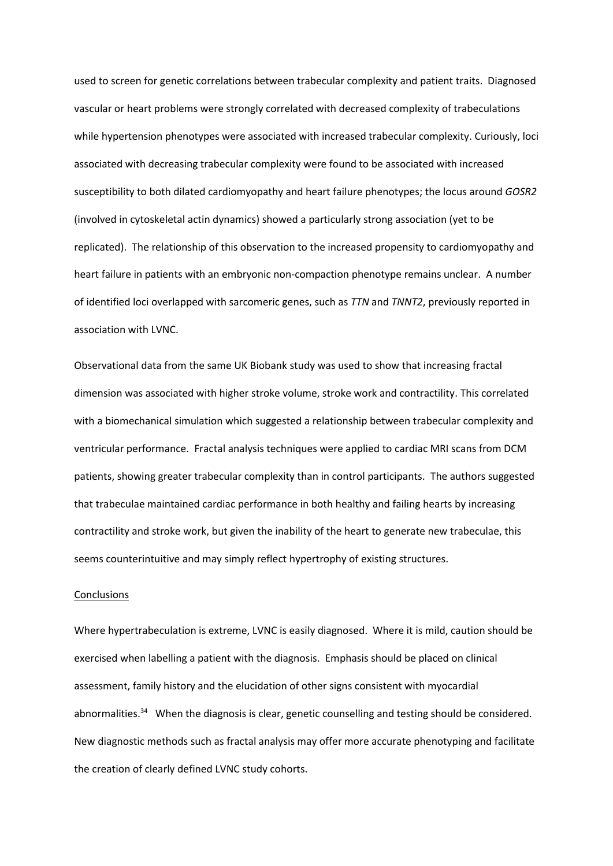used to screen for genetic correlations between trabecular complexity and patient traits. Diagnosed vascular or heart problems were strongly correlated with decreased complexity of trabeculations while hypertension phenotypes were associated with increased trabecular complexity. Curiously, loci associated with decreasing trabecular complexity were found to be associated with increased susceptibility to both dilated cardiomyopathy and heart failure phenotypes; the locus around *GOSR2* (involved in cytoskeletal actin dynamics) showed a particularly strong association (yet to be replicated). The relationship of this observation to the increased propensity to cardiomyopathy and heart failure in patients with an embryonic non-compaction phenotype remains unclear. A number of identified loci overlapped with sarcomeric genes, such as *TTN* and *TNNT2*, previously reported in association with LVNC.

Observational data from the same UK Biobank study was used to show that increasing fractal dimension was associated with higher stroke volume, stroke work and contractility. This correlated with a biomechanical simulation which suggested a relationship between trabecular complexity and ventricular performance. Fractal analysis techniques were applied to cardiac MRI scans from DCM patients, showing greater trabecular complexity than in control participants. The authors suggested that trabeculae maintained cardiac performance in both healthy and failing hearts by increasing contractility and stroke work, but given the inability of the heart to generate new trabeculae, this seems counterintuitive and may simply reflect hypertrophy of existing structures.

#### **Conclusions**

Where hypertrabeculation is extreme, LVNC is easily diagnosed. Where it is mild, caution should be exercised when labelling a patient with the diagnosis. Emphasis should be placed on clinical assessment, family history and the elucidation of other signs consistent with myocardial abnormalities.<sup>34</sup> When the diagnosis is clear, genetic counselling and testing should be considered. New diagnostic methods such as fractal analysis may offer more accurate phenotyping and facilitate the creation of clearly defined LVNC study cohorts.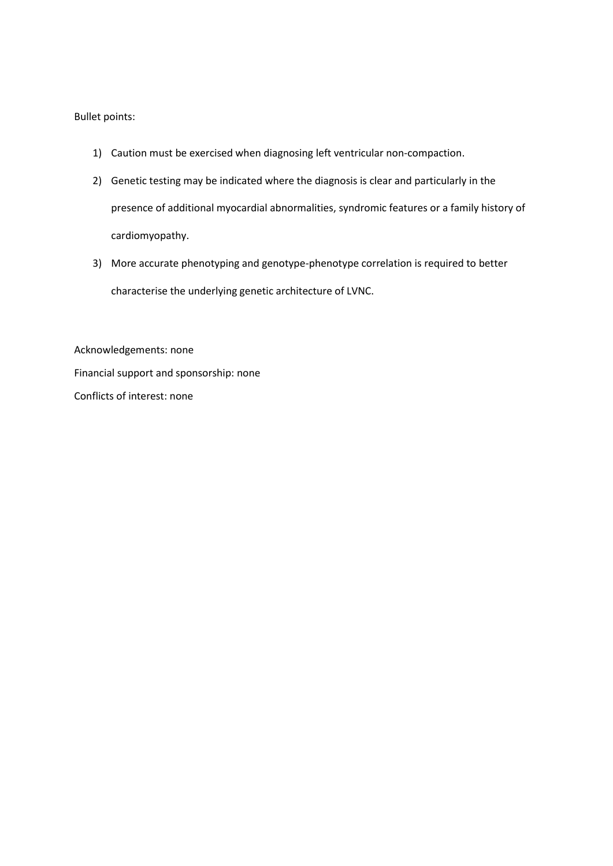## Bullet points:

- 1) Caution must be exercised when diagnosing left ventricular non-compaction.
- 2) Genetic testing may be indicated where the diagnosis is clear and particularly in the presence of additional myocardial abnormalities, syndromic features or a family history of cardiomyopathy.
- 3) More accurate phenotyping and genotype-phenotype correlation is required to better characterise the underlying genetic architecture of LVNC.

Acknowledgements: none Financial support and sponsorship: none Conflicts of interest: none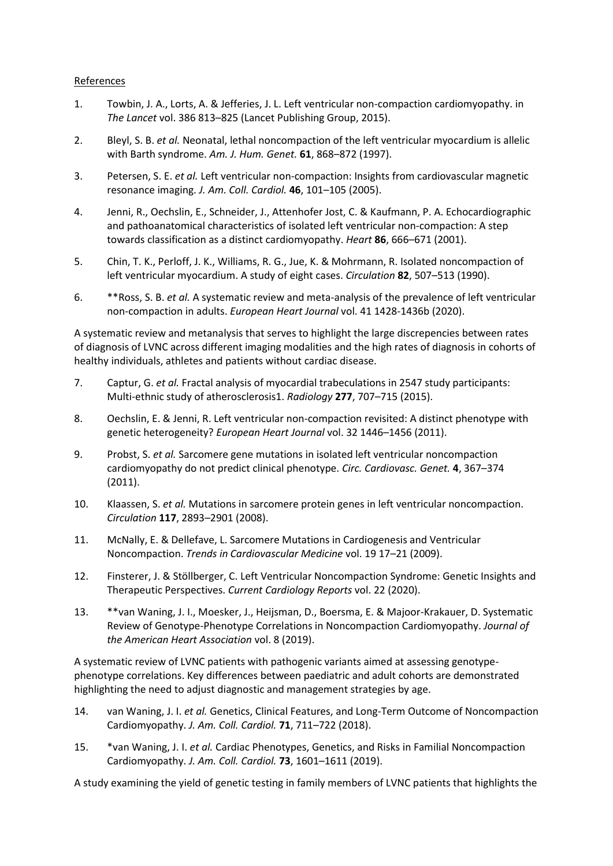# References

- 1. Towbin, J. A., Lorts, A. & Jefferies, J. L. Left ventricular non-compaction cardiomyopathy. in *The Lancet* vol. 386 813–825 (Lancet Publishing Group, 2015).
- 2. Bleyl, S. B. *et al.* Neonatal, lethal noncompaction of the left ventricular myocardium is allelic with Barth syndrome. *Am. J. Hum. Genet.* **61**, 868–872 (1997).
- 3. Petersen, S. E. *et al.* Left ventricular non-compaction: Insights from cardiovascular magnetic resonance imaging. *J. Am. Coll. Cardiol.* **46**, 101–105 (2005).
- 4. Jenni, R., Oechslin, E., Schneider, J., Attenhofer Jost, C. & Kaufmann, P. A. Echocardiographic and pathoanatomical characteristics of isolated left ventricular non-compaction: A step towards classification as a distinct cardiomyopathy. *Heart* **86**, 666–671 (2001).
- 5. Chin, T. K., Perloff, J. K., Williams, R. G., Jue, K. & Mohrmann, R. Isolated noncompaction of left ventricular myocardium. A study of eight cases. *Circulation* **82**, 507–513 (1990).
- 6. \*\*Ross, S. B. *et al.* A systematic review and meta-analysis of the prevalence of left ventricular non-compaction in adults. *European Heart Journal* vol. 41 1428-1436b (2020).

A systematic review and metanalysis that serves to highlight the large discrepencies between rates of diagnosis of LVNC across different imaging modalities and the high rates of diagnosis in cohorts of healthy individuals, athletes and patients without cardiac disease.

- 7. Captur, G. *et al.* Fractal analysis of myocardial trabeculations in 2547 study participants: Multi-ethnic study of atherosclerosis1. *Radiology* **277**, 707–715 (2015).
- 8. Oechslin, E. & Jenni, R. Left ventricular non-compaction revisited: A distinct phenotype with genetic heterogeneity? *European Heart Journal* vol. 32 1446–1456 (2011).
- 9. Probst, S. *et al.* Sarcomere gene mutations in isolated left ventricular noncompaction cardiomyopathy do not predict clinical phenotype. *Circ. Cardiovasc. Genet.* **4**, 367–374 (2011).
- 10. Klaassen, S. *et al.* Mutations in sarcomere protein genes in left ventricular noncompaction. *Circulation* **117**, 2893–2901 (2008).
- 11. McNally, E. & Dellefave, L. Sarcomere Mutations in Cardiogenesis and Ventricular Noncompaction. *Trends in Cardiovascular Medicine* vol. 19 17–21 (2009).
- 12. Finsterer, J. & Stöllberger, C. Left Ventricular Noncompaction Syndrome: Genetic Insights and Therapeutic Perspectives. *Current Cardiology Reports* vol. 22 (2020).
- 13. \*\*van Waning, J. I., Moesker, J., Heijsman, D., Boersma, E. & Majoor-Krakauer, D. Systematic Review of Genotype-Phenotype Correlations in Noncompaction Cardiomyopathy. *Journal of the American Heart Association* vol. 8 (2019).

A systematic review of LVNC patients with pathogenic variants aimed at assessing genotypephenotype correlations. Key differences between paediatric and adult cohorts are demonstrated highlighting the need to adjust diagnostic and management strategies by age.

- 14. van Waning, J. I. *et al.* Genetics, Clinical Features, and Long-Term Outcome of Noncompaction Cardiomyopathy. *J. Am. Coll. Cardiol.* **71**, 711–722 (2018).
- 15. \*van Waning, J. I. *et al.* Cardiac Phenotypes, Genetics, and Risks in Familial Noncompaction Cardiomyopathy. *J. Am. Coll. Cardiol.* **73**, 1601–1611 (2019).

A study examining the yield of genetic testing in family members of LVNC patients that highlights the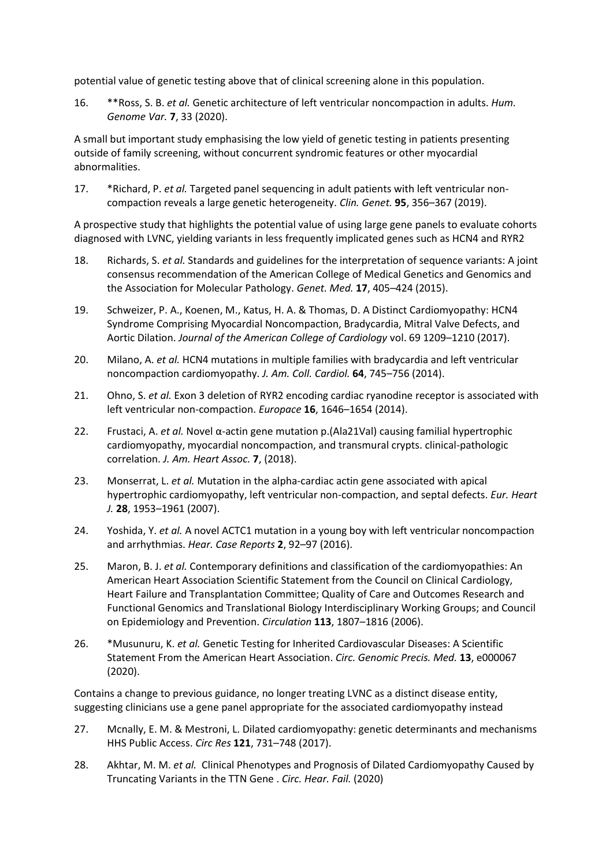potential value of genetic testing above that of clinical screening alone in this population.

16. \*\*Ross, S. B. *et al.* Genetic architecture of left ventricular noncompaction in adults. *Hum. Genome Var.* **7**, 33 (2020).

A small but important study emphasising the low yield of genetic testing in patients presenting outside of family screening, without concurrent syndromic features or other myocardial abnormalities.

17. \*Richard, P. *et al.* Targeted panel sequencing in adult patients with left ventricular noncompaction reveals a large genetic heterogeneity. *Clin. Genet.* **95**, 356–367 (2019).

A prospective study that highlights the potential value of using large gene panels to evaluate cohorts diagnosed with LVNC, yielding variants in less frequently implicated genes such as HCN4 and RYR2

- 18. Richards, S. *et al.* Standards and guidelines for the interpretation of sequence variants: A joint consensus recommendation of the American College of Medical Genetics and Genomics and the Association for Molecular Pathology. *Genet. Med.* **17**, 405–424 (2015).
- 19. Schweizer, P. A., Koenen, M., Katus, H. A. & Thomas, D. A Distinct Cardiomyopathy: HCN4 Syndrome Comprising Myocardial Noncompaction, Bradycardia, Mitral Valve Defects, and Aortic Dilation. *Journal of the American College of Cardiology* vol. 69 1209–1210 (2017).
- 20. Milano, A. *et al.* HCN4 mutations in multiple families with bradycardia and left ventricular noncompaction cardiomyopathy. *J. Am. Coll. Cardiol.* **64**, 745–756 (2014).
- 21. Ohno, S. *et al.* Exon 3 deletion of RYR2 encoding cardiac ryanodine receptor is associated with left ventricular non-compaction. *Europace* **16**, 1646–1654 (2014).
- 22. Frustaci, A. *et al.* Novel α-actin gene mutation p.(Ala21Val) causing familial hypertrophic cardiomyopathy, myocardial noncompaction, and transmural crypts. clinical-pathologic correlation. *J. Am. Heart Assoc.* **7**, (2018).
- 23. Monserrat, L. *et al.* Mutation in the alpha-cardiac actin gene associated with apical hypertrophic cardiomyopathy, left ventricular non-compaction, and septal defects. *Eur. Heart J.* **28**, 1953–1961 (2007).
- 24. Yoshida, Y. *et al.* A novel ACTC1 mutation in a young boy with left ventricular noncompaction and arrhythmias. *Hear. Case Reports* **2**, 92–97 (2016).
- 25. Maron, B. J. *et al.* Contemporary definitions and classification of the cardiomyopathies: An American Heart Association Scientific Statement from the Council on Clinical Cardiology, Heart Failure and Transplantation Committee; Quality of Care and Outcomes Research and Functional Genomics and Translational Biology Interdisciplinary Working Groups; and Council on Epidemiology and Prevention. *Circulation* **113**, 1807–1816 (2006).
- 26. \*Musunuru, K. *et al.* Genetic Testing for Inherited Cardiovascular Diseases: A Scientific Statement From the American Heart Association. *Circ. Genomic Precis. Med.* **13**, e000067 (2020).

Contains a change to previous guidance, no longer treating LVNC as a distinct disease entity, suggesting clinicians use a gene panel appropriate for the associated cardiomyopathy instead

- 27. Mcnally, E. M. & Mestroni, L. Dilated cardiomyopathy: genetic determinants and mechanisms HHS Public Access. *Circ Res* **121**, 731–748 (2017).
- 28. Akhtar, M. M. *et al.* Clinical Phenotypes and Prognosis of Dilated Cardiomyopathy Caused by Truncating Variants in the TTN Gene . *Circ. Hear. Fail.* (2020)